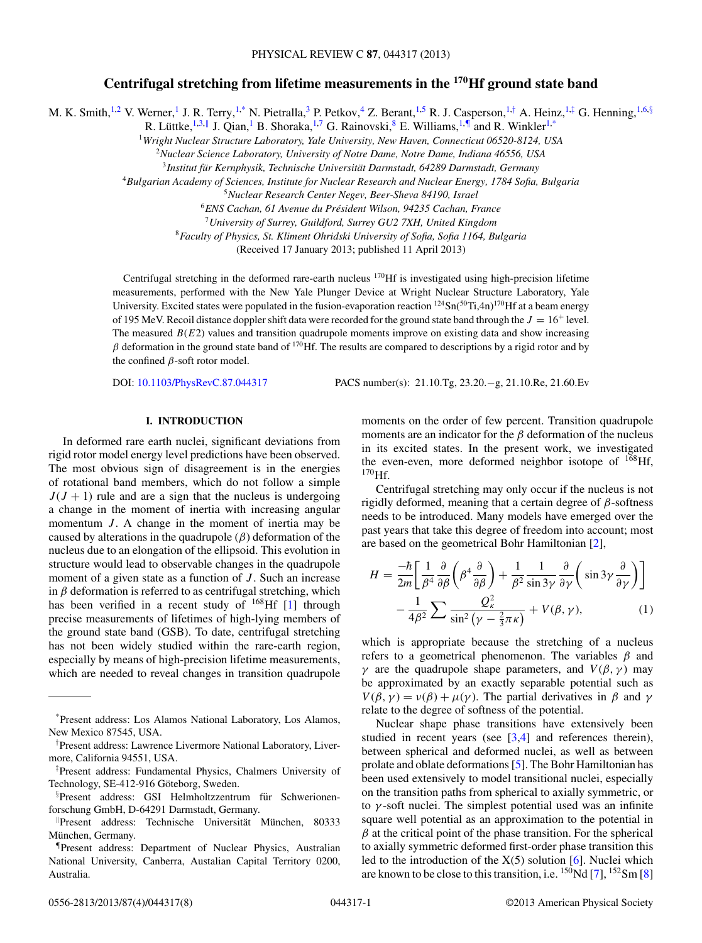# **Centrifugal stretching from lifetime measurements in the 170Hf ground state band**

M. K. Smith,<sup>1,2</sup> V. Werner,<sup>1</sup> J. R. Terry,<sup>1,\*</sup> N. Pietralla,<sup>3</sup> P. Petkov,<sup>4</sup> Z. Berant,<sup>1,5</sup> R. J. Casperson,<sup>1,†</sup> A. Heinz,<sup>1,‡</sup> G. Henning,<sup>1,6,§</sup>

R. Lüttke, <sup>1,3,||</sup> J. Qian, <sup>1</sup> B. Shoraka, <sup>1,7</sup> G. Rainovski, <sup>8</sup> E. Williams, <sup>1,¶</sup> and R. Winkler<sup>1,\*</sup>

<sup>1</sup>*Wright Nuclear Structure Laboratory, Yale University, New Haven, Connecticut 06520-8124, USA*

<sup>2</sup>*Nuclear Science Laboratory, University of Notre Dame, Notre Dame, Indiana 46556, USA*

<sup>3</sup> Institut für Kernphysik, Technische Universität Darmstadt, 64289 Darmstadt, Germany

<sup>4</sup>*Bulgarian Academy of Sciences, Institute for Nuclear Research and Nuclear Energy, 1784 Sofia, Bulgaria*

<sup>5</sup>*Nuclear Research Center Negev, Beer-Sheva 84190, Israel*

<sup>6</sup>*ENS Cachan, 61 Avenue du President Wilson, 94235 Cachan, France ´*

<sup>7</sup>*University of Surrey, Guildford, Surrey GU2 7XH, United Kingdom*

<sup>8</sup>*Faculty of Physics, St. Kliment Ohridski University of Sofia, Sofia 1164, Bulgaria*

(Received 17 January 2013; published 11 April 2013)

Centrifugal stretching in the deformed rare-earth nucleus 170Hf is investigated using high-precision lifetime measurements, performed with the New Yale Plunger Device at Wright Nuclear Structure Laboratory, Yale University. Excited states were populated in the fusion-evaporation reaction  $124\text{Sn}(50\text{Ti},4\text{n})^{170}\text{Hf}$  at a beam energy of 195 MeV. Recoil distance doppler shift data were recorded for the ground state band through the  $J = 16^+$  level. The measured  $B(E2)$  values and transition quadrupole moments improve on existing data and show increasing  $β$  deformation in the ground state band of <sup>170</sup>Hf. The results are compared to descriptions by a rigid rotor and by the confined  $\beta$ -soft rotor model.

DOI: [10.1103/PhysRevC.87.044317](http://dx.doi.org/10.1103/PhysRevC.87.044317) PACS number(s): 21.10.Tg, 23.20.−g, 21.10.Re, 21.60.Ev

## **I. INTRODUCTION**

In deformed rare earth nuclei, significant deviations from rigid rotor model energy level predictions have been observed. The most obvious sign of disagreement is in the energies of rotational band members, which do not follow a simple  $J(J + 1)$  rule and are a sign that the nucleus is undergoing a change in the moment of inertia with increasing angular momentum  $J$ . A change in the moment of inertia may be caused by alterations in the quadrupole  $(\beta)$  deformation of the nucleus due to an elongation of the ellipsoid. This evolution in structure would lead to observable changes in the quadrupole moment of a given state as a function of  $J$ . Such an increase in  $\beta$  deformation is referred to as centrifugal stretching, which has been verified in a recent study of <sup>168</sup>Hf [\[1\]](#page-7-0) through precise measurements of lifetimes of high-lying members of the ground state band (GSB). To date, centrifugal stretching has not been widely studied within the rare-earth region, especially by means of high-precision lifetime measurements, which are needed to reveal changes in transition quadrupole moments on the order of few percent. Transition quadrupole moments are an indicator for the  $\beta$  deformation of the nucleus in its excited states. In the present work, we investigated the even-even, more deformed neighbor isotope of  $168$ Hf,  $170$ Hf.

Centrifugal stretching may only occur if the nucleus is not rigidly deformed, meaning that a certain degree of  $\beta$ -softness needs to be introduced. Many models have emerged over the past years that take this degree of freedom into account; most are based on the geometrical Bohr Hamiltonian [\[2\]](#page-7-0),

$$
H = \frac{-\hbar}{2m} \left[ \frac{1}{\beta^4} \frac{\partial}{\partial \beta} \left( \beta^4 \frac{\partial}{\partial \beta} \right) + \frac{1}{\beta^2} \frac{1}{\sin 3\gamma} \frac{\partial}{\partial \gamma} \left( \sin 3\gamma \frac{\partial}{\partial \gamma} \right) \right] - \frac{1}{4\beta^2} \sum \frac{Q_k^2}{\sin^2 (\gamma - \frac{2}{3}\pi\kappa)} + V(\beta, \gamma), \tag{1}
$$

which is appropriate because the stretching of a nucleus refers to a geometrical phenomenon. The variables  $\beta$  and γ are the quadrupole shape parameters, and  $V(β, γ)$  may be approximated by an exactly separable potential such as  $V(\beta, \gamma) = v(\beta) + \mu(\gamma)$ . The partial derivatives in  $\beta$  and  $\gamma$ relate to the degree of softness of the potential.

Nuclear shape phase transitions have extensively been studied in recent years (see  $[3,4]$  and references therein), between spherical and deformed nuclei, as well as between prolate and oblate deformations [\[5\]](#page-7-0). The Bohr Hamiltonian has been used extensively to model transitional nuclei, especially on the transition paths from spherical to axially symmetric, or to  $\gamma$ -soft nuclei. The simplest potential used was an infinite square well potential as an approximation to the potential in  $\beta$  at the critical point of the phase transition. For the spherical to axially symmetric deformed first-order phase transition this led to the introduction of the  $X(5)$  solution [\[6\]](#page-7-0). Nuclei which are known to be close to this transition, i.e.  $^{150}$ Nd [\[7\]](#page-7-0),  $^{152}$ Sm [\[8\]](#page-7-0)

<sup>\*</sup>Present address: Los Alamos National Laboratory, Los Alamos, New Mexico 87545, USA.

<sup>†</sup> Present address: Lawrence Livermore National Laboratory, Livermore, California 94551, USA.

<sup>‡</sup> Present address: Fundamental Physics, Chalmers University of Technology, SE-412-916 Göteborg, Sweden.

<sup>§</sup>Present address: GSI Helmholtzzentrum für Schwerionenforschung GmbH, D-64291 Darmstadt, Germany.

Present address: Technische Universität München, 80333 München, Germany.

<sup>¶</sup>Present address: Department of Nuclear Physics, Australian National University, Canberra, Austalian Capital Territory 0200, Australia.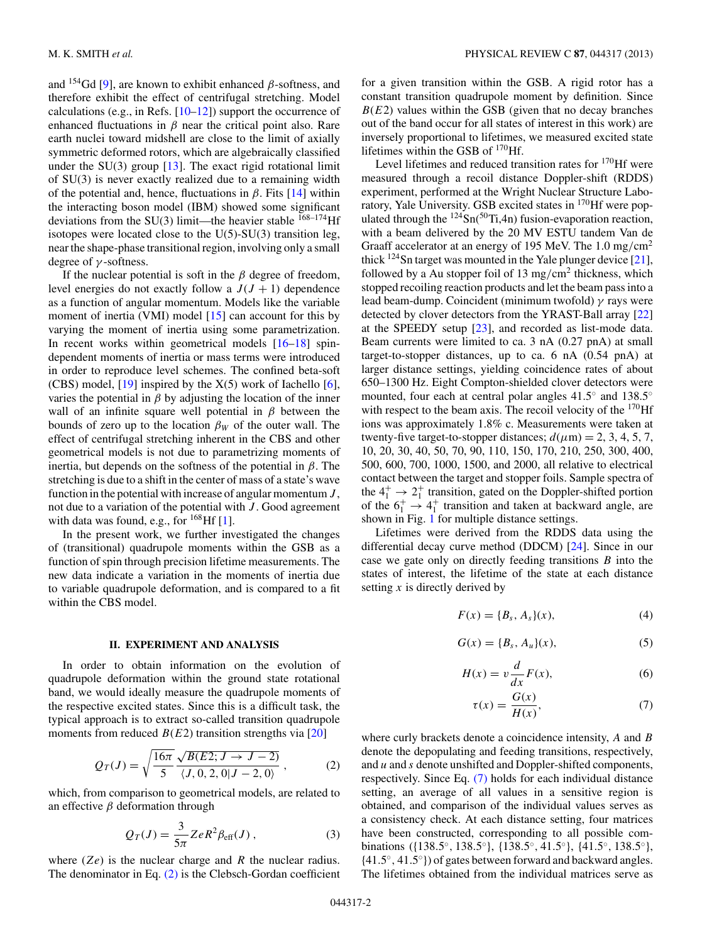<span id="page-1-0"></span>and  $154$ Gd [\[9\]](#page-7-0), are known to exhibit enhanced  $\beta$ -softness, and therefore exhibit the effect of centrifugal stretching. Model calculations (e.g., in Refs.  $[10-12]$ ) support the occurrence of enhanced fluctuations in  $\beta$  near the critical point also. Rare earth nuclei toward midshell are close to the limit of axially symmetric deformed rotors, which are algebraically classified under the  $SU(3)$  group [\[13\]](#page-7-0). The exact rigid rotational limit of SU(3) is never exactly realized due to a remaining width of the potential and, hence, fluctuations in  $\beta$ . Fits [\[14\]](#page-7-0) within the interacting boson model (IBM) showed some significant deviations from the  $SU(3)$  limit—the heavier stable  $168-174$  Hf isotopes were located close to the  $U(5)$ -SU(3) transition leg, near the shape-phase transitional region, involving only a small degree of  $\gamma$ -softness.

If the nuclear potential is soft in the  $\beta$  degree of freedom, level energies do not exactly follow a  $J(J + 1)$  dependence as a function of angular momentum. Models like the variable moment of inertia (VMI) model [\[15\]](#page-7-0) can account for this by varying the moment of inertia using some parametrization. In recent works within geometrical models [\[16–18\]](#page-7-0) spindependent moments of inertia or mass terms were introduced in order to reproduce level schemes. The confined beta-soft (CBS) model,  $[19]$  inspired by the  $X(5)$  work of Iachello  $[6]$ , varies the potential in  $\beta$  by adjusting the location of the inner wall of an infinite square well potential in  $\beta$  between the bounds of zero up to the location  $\beta_W$  of the outer wall. The effect of centrifugal stretching inherent in the CBS and other geometrical models is not due to parametrizing moments of inertia, but depends on the softness of the potential in  $\beta$ . The stretching is due to a shift in the center of mass of a state's wave function in the potential with increase of angular momentum  $J$ , not due to a variation of the potential with  $J$ . Good agreement with data was found, e.g., for  $^{168}$ Hf [\[1\]](#page-7-0).

In the present work, we further investigated the changes of (transitional) quadrupole moments within the GSB as a function of spin through precision lifetime measurements. The new data indicate a variation in the moments of inertia due to variable quadrupole deformation, and is compared to a fit within the CBS model.

#### **II. EXPERIMENT AND ANALYSIS**

In order to obtain information on the evolution of quadrupole deformation within the ground state rotational band, we would ideally measure the quadrupole moments of the respective excited states. Since this is a difficult task, the typical approach is to extract so-called transition quadrupole moments from reduced  $B(E2)$  transition strengths via [\[20\]](#page-7-0)

$$
Q_T(J) = \sqrt{\frac{16\pi}{5}} \frac{\sqrt{B(E2; J \to J - 2)}}{\langle J, 0, 2, 0 | J - 2, 0 \rangle},
$$
 (2)

which, from comparison to geometrical models, are related to an effective  $\beta$  deformation through

$$
Q_T(J) = \frac{3}{5\pi} Z e R^2 \beta_{\text{eff}}(J) , \qquad (3)
$$

where  $(Ze)$  is the nuclear charge and R the nuclear radius. The denominator in Eq. (2) is the Clebsch-Gordan coefficient

for a given transition within the GSB. A rigid rotor has a constant transition quadrupole moment by definition. Since  $B(E2)$  values within the GSB (given that no decay branches out of the band occur for all states of interest in this work) are inversely proportional to lifetimes, we measured excited state lifetimes within the GSB of 170Hf.

Level lifetimes and reduced transition rates for  $170$  Hf were measured through a recoil distance Doppler-shift (RDDS) experiment, performed at the Wright Nuclear Structure Laboratory, Yale University. GSB excited states in 170Hf were populated through the  $^{124}Sn(^{50}Ti,4n)$  fusion-evaporation reaction, with a beam delivered by the 20 MV ESTU tandem Van de Graaff accelerator at an energy of 195 MeV. The  $1.0 \text{ mg/cm}^2$ thick  $124$ Sn target was mounted in the Yale plunger device [\[21\]](#page-7-0), followed by a Au stopper foil of 13 mg/cm<sup>2</sup> thickness, which stopped recoiling reaction products and let the beam pass into a lead beam-dump. Coincident (minimum twofold)  $\gamma$  rays were detected by clover detectors from the YRAST-Ball array [\[22\]](#page-7-0) at the SPEEDY setup [\[23\]](#page-7-0), and recorded as list-mode data. Beam currents were limited to ca. 3 nA (0.27 pnA) at small target-to-stopper distances, up to ca. 6 nA (0.54 pnA) at larger distance settings, yielding coincidence rates of about 650–1300 Hz. Eight Compton-shielded clover detectors were mounted, four each at central polar angles 41.5◦ and 138.5◦ with respect to the beam axis. The recoil velocity of the  $170$ Hf ions was approximately 1.8% c. Measurements were taken at twenty-five target-to-stopper distances;  $d(\mu m) = 2, 3, 4, 5, 7,$ 10, 20, 30, 40, 50, 70, 90, 110, 150, 170, 210, 250, 300, 400, 500, 600, 700, 1000, 1500, and 2000, all relative to electrical contact between the target and stopper foils. Sample spectra of the  $4^+_1 \rightarrow 2^+_1$  transition, gated on the Doppler-shifted portion of the  $6_1^+$   $\rightarrow$  4<sup>+</sup> transition and taken at backward angle, are shown in Fig. [1](#page-2-0) for multiple distance settings.

Lifetimes were derived from the RDDS data using the differential decay curve method (DDCM) [\[24\]](#page-7-0). Since in our case we gate only on directly feeding transitions  $B$  into the states of interest, the lifetime of the state at each distance setting  $x$  is directly derived by

$$
F(x) = \{B_s, A_s\}(x),
$$
 (4)

$$
G(x) = \{B_s, A_u\}(x),
$$
 (5)

$$
H(x) = v \frac{d}{dx} F(x),
$$
 (6)

$$
\tau(x) = \frac{G(x)}{H(x)},\tag{7}
$$

where curly brackets denote a coincidence intensity, A and B denote the depopulating and feeding transitions, respectively, and  $u$  and  $s$  denote unshifted and Doppler-shifted components, respectively. Since Eq. (7) holds for each individual distance setting, an average of all values in a sensitive region is obtained, and comparison of the individual values serves as a consistency check. At each distance setting, four matrices have been constructed, corresponding to all possible combinations ({138.5◦, 138.5◦}, {138.5◦, 41.5◦}, {41.5◦, 138.5◦}, {41.5◦, 41.5◦}) of gates between forward and backward angles. The lifetimes obtained from the individual matrices serve as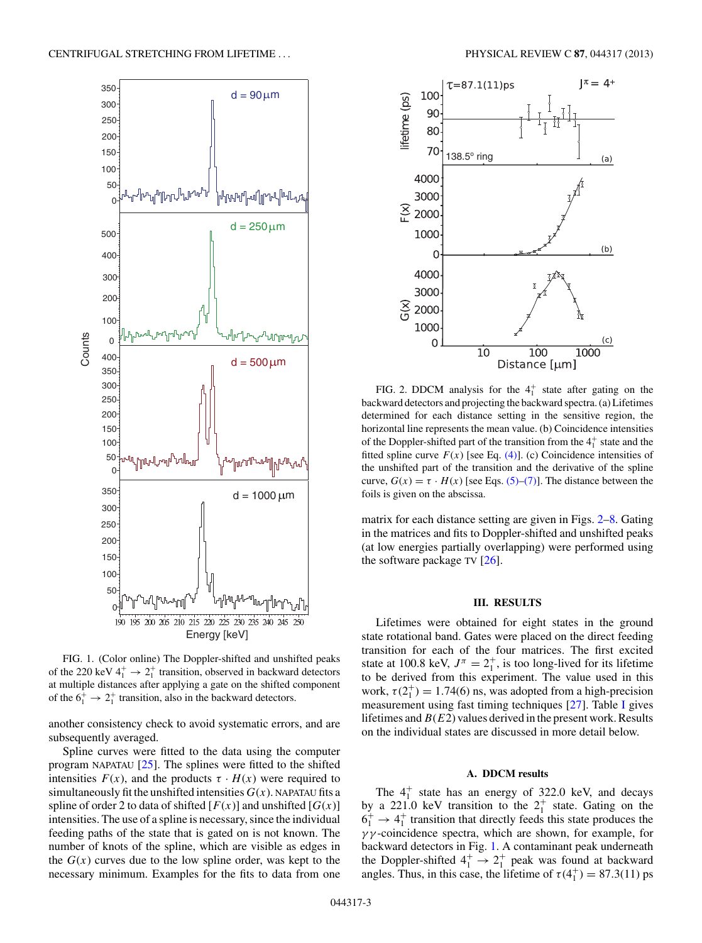<span id="page-2-0"></span>

FIG. 1. (Color online) The Doppler-shifted and unshifted peaks of the 220 keV  $4^+_1 \rightarrow 2^+_1$  transition, observed in backward detectors at multiple distances after applying a gate on the shifted component of the  $6_1^+$   $\rightarrow$  2<sup>+</sup> transition, also in the backward detectors.

another consistency check to avoid systematic errors, and are subsequently averaged.

Spline curves were fitted to the data using the computer program NAPATAU  $[25]$ . The splines were fitted to the shifted intensities  $F(x)$ , and the products  $\tau \cdot H(x)$  were required to simultaneously fit the unshifted intensities  $G(x)$ . NAPATAU fits a spline of order 2 to data of shifted  $[F(x)]$  and unshifted  $[G(x)]$ intensities. The use of a spline is necessary, since the individual feeding paths of the state that is gated on is not known. The number of knots of the spline, which are visible as edges in the  $G(x)$  curves due to the low spline order, was kept to the necessary minimum. Examples for the fits to data from one



FIG. 2. DDCM analysis for the  $4<sub>1</sub><sup>+</sup>$  state after gating on the backward detectors and projecting the backward spectra. (a) Lifetimes determined for each distance setting in the sensitive region, the horizontal line represents the mean value. (b) Coincidence intensities of the Doppler-shifted part of the transition from the  $4<sup>+</sup><sub>1</sub>$  state and the fitted spline curve  $F(x)$  [see Eq. [\(4\)\]](#page-1-0). (c) Coincidence intensities of the unshifted part of the transition and the derivative of the spline curve,  $G(x) = \tau \cdot H(x)$  [see Eqs. [\(5\)–\(7\)\]](#page-1-0). The distance between the foils is given on the abscissa.

matrix for each distance setting are given in Figs. 2[–8.](#page-4-0) Gating in the matrices and fits to Doppler-shifted and unshifted peaks (at low energies partially overlapping) were performed using the software package TV [\[26\]](#page-7-0).

### **III. RESULTS**

Lifetimes were obtained for eight states in the ground state rotational band. Gates were placed on the direct feeding transition for each of the four matrices. The first excited state at 100.8 keV,  $J^{\pi} = 2^{+}_{1}$ , is too long-lived for its lifetime to be derived from this experiment. The value used in this work,  $\tau(2_1^+) = 1.74(6)$  ns, was adopted from a high-precision measurement using fast timing techniques [\[27\]](#page-7-0). Table [I](#page-3-0) gives lifetimes and  $B(E2)$  values derived in the present work. Results on the individual states are discussed in more detail below.

#### **A. DDCM results**

The  $4^+_1$  state has an energy of 322.0 keV, and decays by a 221.0 keV transition to the  $2^+_1$  state. Gating on the  $6_1^+$   $\rightarrow$  4<sup>+</sup> transition that directly feeds this state produces the  $\gamma\gamma$ -coincidence spectra, which are shown, for example, for backward detectors in Fig. 1. A contaminant peak underneath the Doppler-shifted  $4^+_1 \rightarrow 2^+_1$  peak was found at backward angles. Thus, in this case, the lifetime of  $\tau(4_1^+) = 87.3(11)$  ps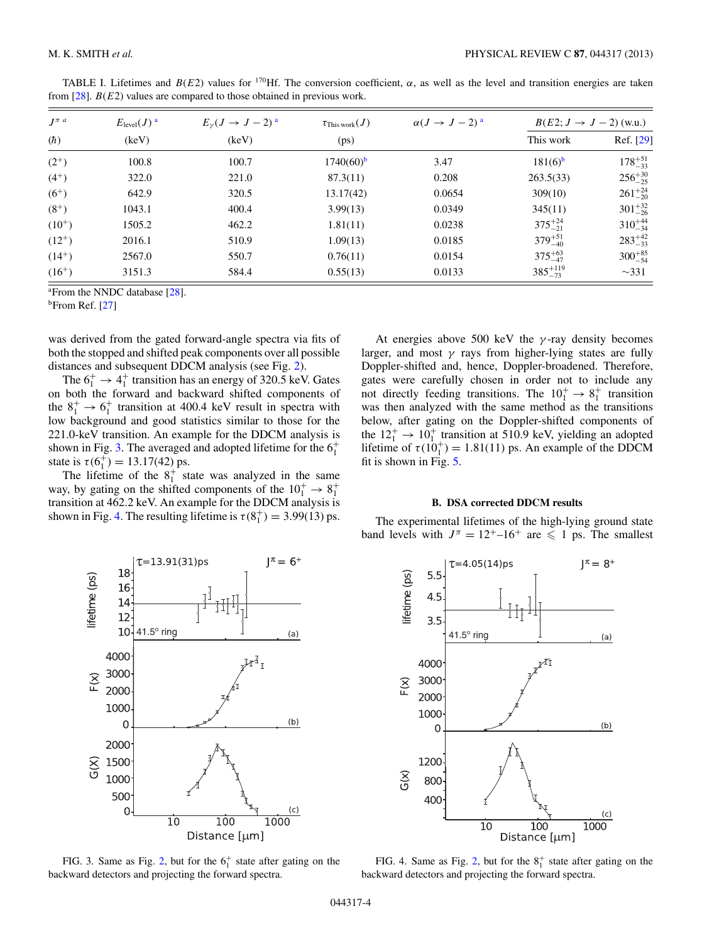| $J^{\pi a}$ | $E_{\text{level}}(J)^{a}$ | $E_{\nu}(J \rightarrow J-2)^{a}$ | $\tau_{\rm This\, work}(J)$ | $\alpha(J \to J-2)^{a}$ | $B(E2; J \rightarrow J - 2)$ (w.u.) |                   |
|-------------|---------------------------|----------------------------------|-----------------------------|-------------------------|-------------------------------------|-------------------|
| (h)         | (keV)                     | (keV)                            | (ps)                        |                         | This work                           | Ref. [29]         |
| $(2^{+})$   | 100.8                     | 100.7                            | $1740(60)$ <sup>b</sup>     | 3.47                    | $181(6)$ <sup>b</sup>               | $178^{+51}_{-33}$ |
| $(4^{+})$   | 322.0                     | 221.0                            | 87.3(11)                    | 0.208                   | 263.5(33)                           | $256^{+30}_{-25}$ |
| $(6^{+})$   | 642.9                     | 320.5                            | 13.17(42)                   | 0.0654                  | 309(10)                             | $261^{+24}_{-20}$ |
| $(8^+)$     | 1043.1                    | 400.4                            | 3.99(13)                    | 0.0349                  | 345(11)                             | $301^{+32}_{-26}$ |
| $(10^{+})$  | 1505.2                    | 462.2                            | 1.81(11)                    | 0.0238                  | $375^{+24}_{-21}$                   | $310^{+44}_{-34}$ |
| $(12^{+})$  | 2016.1                    | 510.9                            | 1.09(13)                    | 0.0185                  | $379^{+51}_{-40}$                   | $283^{+42}_{-33}$ |
| $(14^{+})$  | 2567.0                    | 550.7                            | 0.76(11)                    | 0.0154                  | $375^{+63}_{-47}$                   | $300^{+85}_{-54}$ |
| $(16^{+})$  | 3151.3                    | 584.4                            | 0.55(13)                    | 0.0133                  | $385^{+119}_{-73}$                  | $\sim$ 331        |

<span id="page-3-0"></span>TABLE I. Lifetimes and  $B(E2)$  values for <sup>170</sup>Hf. The conversion coefficient,  $\alpha$ , as well as the level and transition energies are taken from  $[28]$ .  $B(E2)$  values are compared to those obtained in previous work.

<sup>a</sup> From the NNDC database [\[28\]](#page-7-0).

 $<sup>b</sup>$ From Ref. [\[27\]](#page-7-0)</sup>

was derived from the gated forward-angle spectra via fits of both the stopped and shifted peak components over all possible distances and subsequent DDCM analysis (see Fig. [2\)](#page-2-0).

The  $6_1^+$   $\rightarrow$  4 $_1^+$  transition has an energy of 320.5 keV. Gates on both the forward and backward shifted components of the  $8_1^+$   $\rightarrow$  6<sup>+</sup> transition at 400.4 keV result in spectra with low background and good statistics similar to those for the 221.0-keV transition. An example for the DDCM analysis is shown in Fig. 3. The averaged and adopted lifetime for the  $6<sub>1</sub><sup>+</sup>$ state is  $\tau(6_1^+) = 13.17(42)$  ps.

The lifetime of the  $8_1^+$  state was analyzed in the same way, by gating on the shifted components of the  $10^+_1 \rightarrow 8^+_1$ transition at 462.2 keV. An example for the DDCM analysis is shown in Fig. 4. The resulting lifetime is  $\tau(8_1^+) = 3.99(13)$  ps.

At energies above 500 keV the  $\gamma$ -ray density becomes larger, and most  $\gamma$  rays from higher-lying states are fully Doppler-shifted and, hence, Doppler-broadened. Therefore, gates were carefully chosen in order not to include any not directly feeding transitions. The  $10^+_1 \rightarrow 8^+_1$  transition was then analyzed with the same method as the transitions below, after gating on the Doppler-shifted components of the  $12^+_1 \rightarrow 10^+_1$  transition at 510.9 keV, yielding an adopted lifetime of  $\tau(10_1^+) = 1.81(11)$  ps. An example of the DDCM fit is shown in Fig. [5.](#page-4-0)

#### **B. DSA corrected DDCM results**

The experimental lifetimes of the high-lying ground state band levels with  $J^{\pi} = 12^{+}$ –16<sup>+</sup> are  $\leq 1$  ps. The smallest



FIG. 3. Same as Fig. [2,](#page-2-0) but for the  $6<sub>1</sub><sup>+</sup>$  state after gating on the backward detectors and projecting the forward spectra.



FIG. 4. Same as Fig. [2,](#page-2-0) but for the  $8<sub>1</sub><sup>+</sup>$  state after gating on the backward detectors and projecting the forward spectra.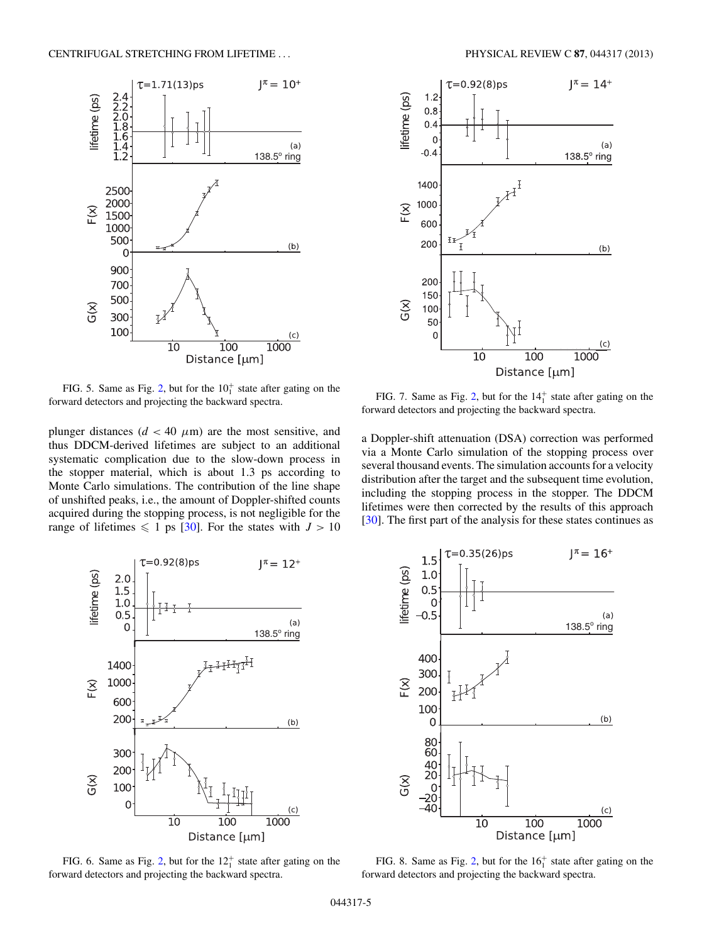<span id="page-4-0"></span>

FIG. 5. Same as Fig. [2,](#page-2-0) but for the  $10<sub>1</sub><sup>+</sup>$  state after gating on the forward detectors and projecting the backward spectra.

plunger distances ( $d < 40 \mu m$ ) are the most sensitive, and thus DDCM-derived lifetimes are subject to an additional systematic complication due to the slow-down process in the stopper material, which is about 1.3 ps according to Monte Carlo simulations. The contribution of the line shape of unshifted peaks, i.e., the amount of Doppler-shifted counts acquired during the stopping process, is not negligible for the range of lifetimes  $\leq 1$  ps [\[30\]](#page-7-0). For the states with  $J > 10$ 



FIG. 7. Same as Fig. [2,](#page-2-0) but for the  $14<sub>1</sub><sup>+</sup>$  state after gating on the forward detectors and projecting the backward spectra.

a Doppler-shift attenuation (DSA) correction was performed via a Monte Carlo simulation of the stopping process over several thousand events. The simulation accounts for a velocity distribution after the target and the subsequent time evolution, including the stopping process in the stopper. The DDCM lifetimes were then corrected by the results of this approach [\[30\]](#page-7-0). The first part of the analysis for these states continues as



FIG. 6. Same as Fig. [2,](#page-2-0) but for the  $12<sub>1</sub><sup>+</sup>$  state after gating on the forward detectors and projecting the backward spectra.



FIG. 8. Same as Fig. [2,](#page-2-0) but for the  $16<sub>1</sub><sup>+</sup>$  state after gating on the forward detectors and projecting the backward spectra.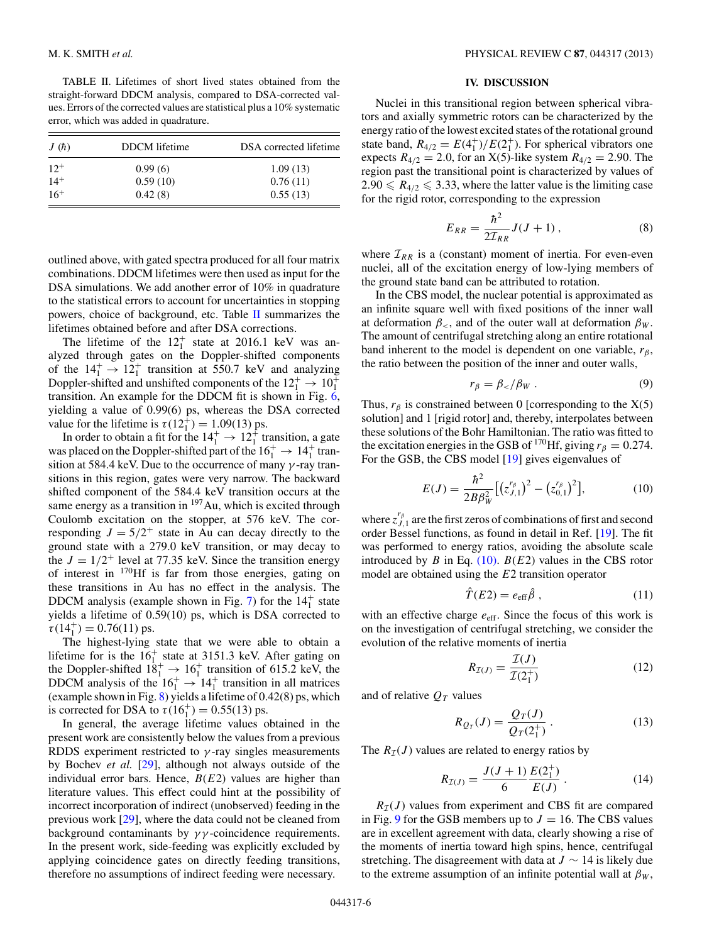TABLE II. Lifetimes of short lived states obtained from the straight-forward DDCM analysis, compared to DSA-corrected values. Errors of the corrected values are statistical plus a 10% systematic error, which was added in quadrature.

| J(h)     | DDCM lifetime | DSA corrected lifetime |  |  |
|----------|---------------|------------------------|--|--|
| $12^{+}$ | 0.99(6)       | 1.09(13)               |  |  |
| $14^{+}$ | 0.59(10)      | 0.76(11)               |  |  |
| $16+$    | 0.42(8)       | 0.55(13)               |  |  |

outlined above, with gated spectra produced for all four matrix combinations. DDCM lifetimes were then used as input for the DSA simulations. We add another error of 10% in quadrature to the statistical errors to account for uncertainties in stopping powers, choice of background, etc. Table II summarizes the lifetimes obtained before and after DSA corrections.

The lifetime of the  $12<sub>1</sub><sup>+</sup>$  state at 2016.1 keV was analyzed through gates on the Doppler-shifted components of the  $14_1^+ \rightarrow 12_1^+$  transition at 550.7 keV and analyzing Doppler-shifted and unshifted components of the  $12^+_1 \rightarrow 10^+_1$ transition. An example for the DDCM fit is shown in Fig. [6,](#page-4-0) yielding a value of 0.99(6) ps, whereas the DSA corrected value for the lifetime is  $\tau(12_1^{\ddagger}) = 1.09(13)$  ps.

In order to obtain a fit for the  $14^+_1 \rightarrow 12^+_1$  transition, a gate was placed on the Doppler-shifted part of the  $16<sub>1</sub><sup>+</sup> \rightarrow 14<sub>1</sub><sup>+</sup>$  transition at 584.4 keV. Due to the occurrence of many  $\gamma$ -ray transitions in this region, gates were very narrow. The backward shifted component of the 584.4 keV transition occurs at the same energy as a transition in  $197$  Au, which is excited through Coulomb excitation on the stopper, at 576 keV. The corresponding  $J = 5/2^+$  state in Au can decay directly to the ground state with a 279.0 keV transition, or may decay to the  $J = 1/2^+$  level at 77.35 keV. Since the transition energy of interest in 170Hf is far from those energies, gating on these transitions in Au has no effect in the analysis. The DDCM analysis (example shown in Fig. [7\)](#page-4-0) for the  $14<sub>1</sub><sup>+</sup>$  state yields a lifetime of 0.59(10) ps, which is DSA corrected to  $\tau(14_1^+) = 0.76(11)$  ps.

The highest-lying state that we were able to obtain a lifetime for is the  $16<sub>1</sub><sup>+</sup>$  state at 3151.3 keV. After gating on the Doppler-shifted  $18^+_1 \rightarrow 16^+_1$  transition of 615.2 keV, the DDCM analysis of the  $16_1^+ \rightarrow 14_1^+$  transition in all matrices (example shown in Fig. [8\)](#page-4-0) yields a lifetime of 0.42(8) ps, which is corrected for DSA to  $\tau(16_1^+) = 0.55(13)$  ps.

In general, the average lifetime values obtained in the present work are consistently below the values from a previous RDDS experiment restricted to  $\gamma$ -ray singles measurements by Bochev *et al.* [\[29\]](#page-7-0), although not always outside of the individual error bars. Hence,  $B(E2)$  values are higher than literature values. This effect could hint at the possibility of incorrect incorporation of indirect (unobserved) feeding in the previous work [\[29\]](#page-7-0), where the data could not be cleaned from background contaminants by  $\gamma\gamma$ -coincidence requirements. In the present work, side-feeding was explicitly excluded by applying coincidence gates on directly feeding transitions, therefore no assumptions of indirect feeding were necessary.

#### **IV. DISCUSSION**

Nuclei in this transitional region between spherical vibrators and axially symmetric rotors can be characterized by the energy ratio of the lowest excited states of the rotational ground state band,  $R_{4/2} = E(4^+_1)/E(2^+_1)$ . For spherical vibrators one expects  $R_{4/2} = 2.0$ , for an X(5)-like system  $R_{4/2} = 2.90$ . The region past the transitional point is characterized by values of  $2.90 \le R_{4/2} \le 3.33$ , where the latter value is the limiting case for the rigid rotor, corresponding to the expression

$$
E_{RR} = \frac{\hbar^2}{2\mathcal{I}_{RR}} J(J+1) , \qquad (8)
$$

where  $\mathcal{I}_{RR}$  is a (constant) moment of inertia. For even-even nuclei, all of the excitation energy of low-lying members of the ground state band can be attributed to rotation.

In the CBS model, the nuclear potential is approximated as an infinite square well with fixed positions of the inner wall at deformation  $\beta_{\leq}$ , and of the outer wall at deformation  $\beta_{W}$ . The amount of centrifugal stretching along an entire rotational band inherent to the model is dependent on one variable,  $r_\beta$ , the ratio between the position of the inner and outer walls,

$$
r_{\beta} = \beta_{\lt} / \beta_W \,. \tag{9}
$$

Thus,  $r_\beta$  is constrained between 0 [corresponding to the X(5) solution] and 1 [rigid rotor] and, thereby, interpolates between these solutions of the Bohr Hamiltonian. The ratio was fitted to the excitation energies in the GSB of <sup>170</sup>Hf, giving  $r_\beta = 0.274$ . For the GSB, the CBS model [\[19\]](#page-7-0) gives eigenvalues of

$$
E(J) = \frac{\hbar^2}{2B\beta_W^2} \left[ \left( z_{J,1}^{r_{\beta}} \right)^2 - \left( z_{0,1}^{r_{\beta}} \right)^2 \right],\tag{10}
$$

where  $z_{J,1}^{r_\beta}$  are the first zeros of combinations of first and second order Bessel functions, as found in detail in Ref. [\[19\]](#page-7-0). The fit was performed to energy ratios, avoiding the absolute scale introduced by B in Eq. (10).  $B(E2)$  values in the CBS rotor model are obtained using the E2 transition operator

$$
\hat{T}(E2) = e_{\text{eff}}\hat{\beta} \,, \tag{11}
$$

with an effective charge  $e_{\text{eff}}$ . Since the focus of this work is on the investigation of centrifugal stretching, we consider the evolution of the relative moments of inertia

$$
R_{\mathcal{I}(J)} = \frac{\mathcal{I}(J)}{\mathcal{I}(2_1^+)}\tag{12}
$$

and of relative  $Q_T$  values

$$
R_{Q_T}(J) = \frac{Q_T(J)}{Q_T(2_1^+)}.
$$
\n(13)

The  $R_{\mathcal{I}}(J)$  values are related to energy ratios by

$$
R_{\mathcal{I}(J)} = \frac{J(J+1)}{6} \frac{E(2_1^+)}{E(J)} \,. \tag{14}
$$

 $R<sub>T</sub>(J)$  values from experiment and CBS fit are compared in Fig. [9](#page-6-0) for the GSB members up to  $J = 16$ . The CBS values are in excellent agreement with data, clearly showing a rise of the moments of inertia toward high spins, hence, centrifugal stretching. The disagreement with data at  $J \sim 14$  is likely due to the extreme assumption of an infinite potential wall at  $\beta_W$ ,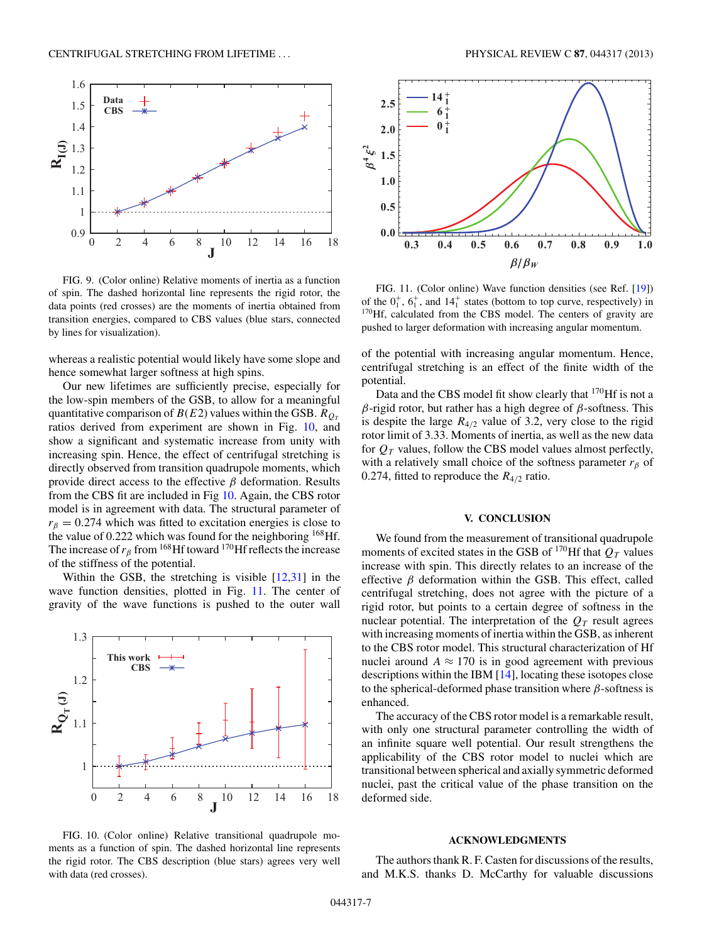<span id="page-6-0"></span>

FIG. 9. (Color online) Relative moments of inertia as a function of spin. The dashed horizontal line represents the rigid rotor, the data points (red crosses) are the moments of inertia obtained from transition energies, compared to CBS values (blue stars, connected by lines for visualization).

whereas a realistic potential would likely have some slope and hence somewhat larger softness at high spins.

Our new lifetimes are sufficiently precise, especially for the low-spin members of the GSB, to allow for a meaningful quantitative comparison of  $B(E2)$  values within the GSB.  $R_{O<sub>T</sub>}$ ratios derived from experiment are shown in Fig. 10, and show a significant and systematic increase from unity with increasing spin. Hence, the effect of centrifugal stretching is directly observed from transition quadrupole moments, which provide direct access to the effective  $\beta$  deformation. Results from the CBS fit are included in Fig 10. Again, the CBS rotor model is in agreement with data. The structural parameter of  $r<sub>\beta</sub> = 0.274$  which was fitted to excitation energies is close to the value of 0.222 which was found for the neighboring  $168$  Hf. The increase of  $r_\beta$  from <sup>168</sup>Hf toward <sup>170</sup>Hf reflects the increase of the stiffness of the potential.

Within the GSB, the stretching is visible  $[12,31]$  in the wave function densities, plotted in Fig. 11. The center of gravity of the wave functions is pushed to the outer wall



FIG. 10. (Color online) Relative transitional quadrupole moments as a function of spin. The dashed horizontal line represents the rigid rotor. The CBS description (blue stars) agrees very well with data (red crosses).



FIG. 11. (Color online) Wave function densities (see Ref. [\[19\]](#page-7-0)) of the  $0_1^+$ ,  $6_1^+$ , and  $14_1^+$  $170$ Hf, calculated from the CBS model. The centers of gravity are pushed to larger deformation with increasing angular momentum.

of the potential with increasing angular momentum. Hence, centrifugal stretching is an effect of the finite width of the potential.

Data and the CBS model fit show clearly that <sup>170</sup>Hf is not a  $β$ -rigid rotor, but rather has a high degree of  $β$ -softness. This is despite the large  $R_{4/2}$  value of 3.2, very close to the rigid rotor limit of 3.33. Moments of inertia, as well as the new data for  $Q_T$  values, follow the CBS model values almost perfectly, with a relatively small choice of the softness parameter  $r<sub>\beta</sub>$  of 0.274, fitted to reproduce the  $R_{4/2}$  ratio.

## **V. CONCLUSION**

We found from the measurement of transitional quadrupole moments of excited states in the GSB of <sup>170</sup>Hf that  $Q_T$  values increase with spin. This directly relates to an increase of the effective  $\beta$  deformation within the GSB. This effect, called centrifugal stretching, does not agree with the picture of a rigid rotor, but points to a certain degree of softness in the nuclear potential. The interpretation of the  $Q_T$  result agrees with increasing moments of inertia within the GSB, as inherent to the CBS rotor model. This structural characterization of Hf nuclei around  $A \approx 170$  is in good agreement with previous descriptions within the IBM [\[14\]](#page-7-0), locating these isotopes close to the spherical-deformed phase transition where  $\beta$ -softness is enhanced.

The accuracy of the CBS rotor model is a remarkable result, with only one structural parameter controlling the width of an infinite square well potential. Our result strengthens the applicability of the CBS rotor model to nuclei which are transitional between spherical and axially symmetric deformed nuclei, past the critical value of the phase transition on the deformed side.

#### **ACKNOWLEDGMENTS**

The authors thank R. F. Casten for discussions of the results, and M.K.S. thanks D. McCarthy for valuable discussions